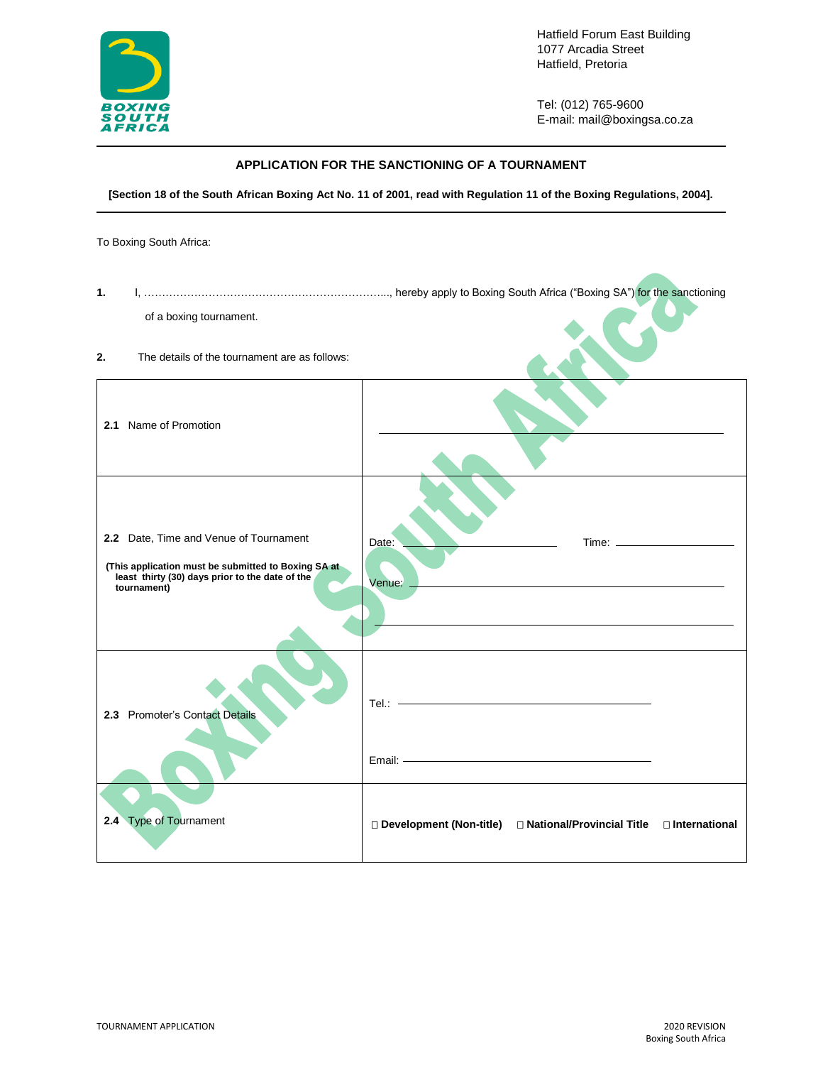

Hatfield Forum East Building 1077 Arcadia Street Hatfield, Pretoria

Tel: (012) 765-9600 E-mail: mail@boxingsa.co.za

## **APPLICATION FOR THE SANCTIONING OF A TOURNAMENT**

**[Section 18 of the South African Boxing Act No. 11 of 2001, read with Regulation 11 of the Boxing Regulations, 2004].**

To Boxing South Africa:

| 1.                                                                                                                                                              |                                                                                                                                                                                                                                                |
|-----------------------------------------------------------------------------------------------------------------------------------------------------------------|------------------------------------------------------------------------------------------------------------------------------------------------------------------------------------------------------------------------------------------------|
| of a boxing tournament.                                                                                                                                         |                                                                                                                                                                                                                                                |
| 2.<br>The details of the tournament are as follows:                                                                                                             |                                                                                                                                                                                                                                                |
| 2.1 Name of Promotion                                                                                                                                           |                                                                                                                                                                                                                                                |
| 2.2 Date, Time and Venue of Tournament<br>(This application must be submitted to Boxing SA at<br>least thirty (30) days prior to the date of the<br>tournament) | Date:<br>Venue:                                                                                                                                                                                                                                |
| 2.3 Promoter's Contact Details                                                                                                                                  | $\begin{tabular}{ll} \bf Tel.: & \textcolor{red}{\textbf{--}} & \textcolor{red}{\textbf{--}} & \textcolor{red}{\textbf{--}} & \textcolor{red}{\textbf{--}} & \textcolor{red}{\textbf{--}} \\ \end{tabular}$<br>Email: ———————————————————————— |
| 2.4 Type of Tournament                                                                                                                                          | □ Development (Non-title) □ National/Provincial Title □ International                                                                                                                                                                          |